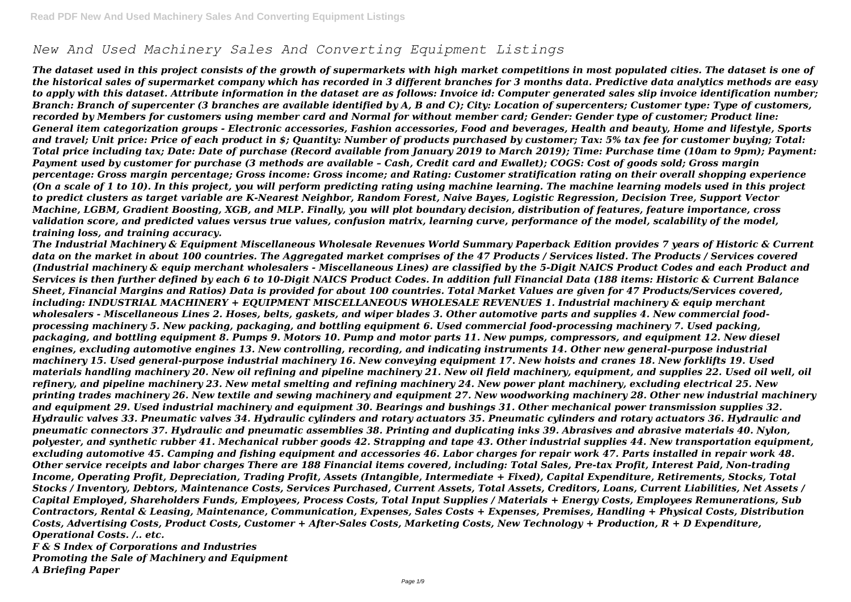# *New And Used Machinery Sales And Converting Equipment Listings*

*The dataset used in this project consists of the growth of supermarkets with high market competitions in most populated cities. The dataset is one of the historical sales of supermarket company which has recorded in 3 different branches for 3 months data. Predictive data analytics methods are easy to apply with this dataset. Attribute information in the dataset are as follows: Invoice id: Computer generated sales slip invoice identification number; Branch: Branch of supercenter (3 branches are available identified by A, B and C); City: Location of supercenters; Customer type: Type of customers, recorded by Members for customers using member card and Normal for without member card; Gender: Gender type of customer; Product line: General item categorization groups - Electronic accessories, Fashion accessories, Food and beverages, Health and beauty, Home and lifestyle, Sports and travel; Unit price: Price of each product in \$; Quantity: Number of products purchased by customer; Tax: 5% tax fee for customer buying; Total: Total price including tax; Date: Date of purchase (Record available from January 2019 to March 2019); Time: Purchase time (10am to 9pm); Payment: Payment used by customer for purchase (3 methods are available – Cash, Credit card and Ewallet); COGS: Cost of goods sold; Gross margin percentage: Gross margin percentage; Gross income: Gross income; and Rating: Customer stratification rating on their overall shopping experience (On a scale of 1 to 10). In this project, you will perform predicting rating using machine learning. The machine learning models used in this project to predict clusters as target variable are K-Nearest Neighbor, Random Forest, Naive Bayes, Logistic Regression, Decision Tree, Support Vector Machine, LGBM, Gradient Boosting, XGB, and MLP. Finally, you will plot boundary decision, distribution of features, feature importance, cross validation score, and predicted values versus true values, confusion matrix, learning curve, performance of the model, scalability of the model, training loss, and training accuracy.*

*The Industrial Machinery & Equipment Miscellaneous Wholesale Revenues World Summary Paperback Edition provides 7 years of Historic & Current data on the market in about 100 countries. The Aggregated market comprises of the 47 Products / Services listed. The Products / Services covered (Industrial machinery & equip merchant wholesalers - Miscellaneous Lines) are classified by the 5-Digit NAICS Product Codes and each Product and Services is then further defined by each 6 to 10-Digit NAICS Product Codes. In addition full Financial Data (188 items: Historic & Current Balance Sheet, Financial Margins and Ratios) Data is provided for about 100 countries. Total Market Values are given for 47 Products/Services covered, including: INDUSTRIAL MACHINERY + EQUIPMENT MISCELLANEOUS WHOLESALE REVENUES 1. Industrial machinery & equip merchant wholesalers - Miscellaneous Lines 2. Hoses, belts, gaskets, and wiper blades 3. Other automotive parts and supplies 4. New commercial foodprocessing machinery 5. New packing, packaging, and bottling equipment 6. Used commercial food-processing machinery 7. Used packing, packaging, and bottling equipment 8. Pumps 9. Motors 10. Pump and motor parts 11. New pumps, compressors, and equipment 12. New diesel engines, excluding automotive engines 13. New controlling, recording, and indicating instruments 14. Other new general-purpose industrial machinery 15. Used general-purpose industrial machinery 16. New conveying equipment 17. New hoists and cranes 18. New forklifts 19. Used materials handling machinery 20. New oil refining and pipeline machinery 21. New oil field machinery, equipment, and supplies 22. Used oil well, oil refinery, and pipeline machinery 23. New metal smelting and refining machinery 24. New power plant machinery, excluding electrical 25. New printing trades machinery 26. New textile and sewing machinery and equipment 27. New woodworking machinery 28. Other new industrial machinery and equipment 29. Used industrial machinery and equipment 30. Bearings and bushings 31. Other mechanical power transmission supplies 32. Hydraulic valves 33. Pneumatic valves 34. Hydraulic cylinders and rotary actuators 35. Pneumatic cylinders and rotary actuators 36. Hydraulic and pneumatic connectors 37. Hydraulic and pneumatic assemblies 38. Printing and duplicating inks 39. Abrasives and abrasive materials 40. Nylon, polyester, and synthetic rubber 41. Mechanical rubber goods 42. Strapping and tape 43. Other industrial supplies 44. New transportation equipment, excluding automotive 45. Camping and fishing equipment and accessories 46. Labor charges for repair work 47. Parts installed in repair work 48. Other service receipts and labor charges There are 188 Financial items covered, including: Total Sales, Pre-tax Profit, Interest Paid, Non-trading Income, Operating Profit, Depreciation, Trading Profit, Assets (Intangible, Intermediate + Fixed), Capital Expenditure, Retirements, Stocks, Total Stocks / Inventory, Debtors, Maintenance Costs, Services Purchased, Current Assets, Total Assets, Creditors, Loans, Current Liabilities, Net Assets / Capital Employed, Shareholders Funds, Employees, Process Costs, Total Input Supplies / Materials + Energy Costs, Employees Remunerations, Sub Contractors, Rental & Leasing, Maintenance, Communication, Expenses, Sales Costs + Expenses, Premises, Handling + Physical Costs, Distribution Costs, Advertising Costs, Product Costs, Customer + After-Sales Costs, Marketing Costs, New Technology + Production, R + D Expenditure, Operational Costs. /.. etc.*

*F & S Index of Corporations and Industries Promoting the Sale of Machinery and Equipment A Briefing Paper*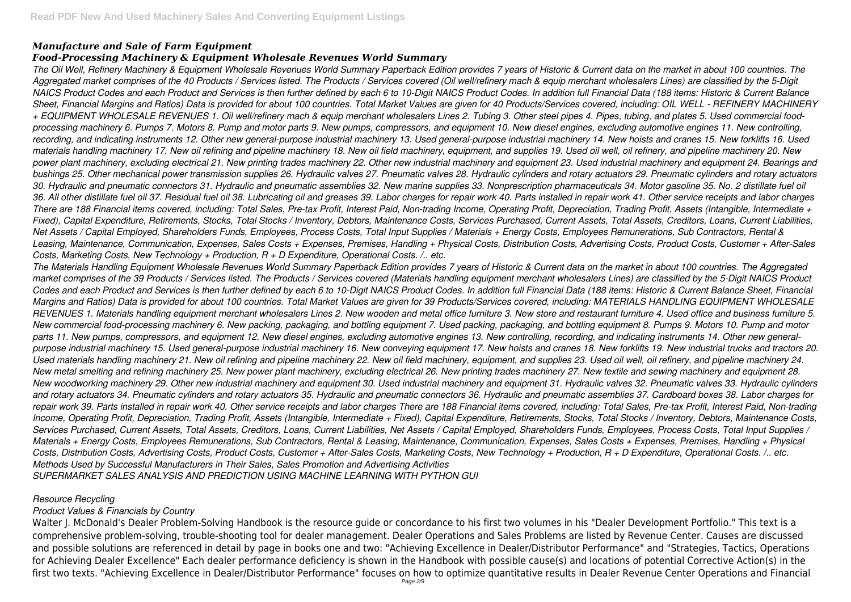# *Manufacture and Sale of Farm Equipment*

# *Food-Processing Machinery & Equipment Wholesale Revenues World Summary*

*The Oil Well, Refinery Machinery & Equipment Wholesale Revenues World Summary Paperback Edition provides 7 years of Historic & Current data on the market in about 100 countries. The Aggregated market comprises of the 40 Products / Services listed. The Products / Services covered (Oil well/refinery mach & equip merchant wholesalers Lines) are classified by the 5-Digit NAICS Product Codes and each Product and Services is then further defined by each 6 to 10-Digit NAICS Product Codes. In addition full Financial Data (188 items: Historic & Current Balance Sheet, Financial Margins and Ratios) Data is provided for about 100 countries. Total Market Values are given for 40 Products/Services covered, including: OIL WELL - REFINERY MACHINERY + EQUIPMENT WHOLESALE REVENUES 1. Oil well/refinery mach & equip merchant wholesalers Lines 2. Tubing 3. Other steel pipes 4. Pipes, tubing, and plates 5. Used commercial foodprocessing machinery 6. Pumps 7. Motors 8. Pump and motor parts 9. New pumps, compressors, and equipment 10. New diesel engines, excluding automotive engines 11. New controlling, recording, and indicating instruments 12. Other new general-purpose industrial machinery 13. Used general-purpose industrial machinery 14. New hoists and cranes 15. New forklifts 16. Used materials handling machinery 17. New oil refining and pipeline machinery 18. New oil field machinery, equipment, and supplies 19. Used oil well, oil refinery, and pipeline machinery 20. New power plant machinery, excluding electrical 21. New printing trades machinery 22. Other new industrial machinery and equipment 23. Used industrial machinery and equipment 24. Bearings and bushings 25. Other mechanical power transmission supplies 26. Hydraulic valves 27. Pneumatic valves 28. Hydraulic cylinders and rotary actuators 29. Pneumatic cylinders and rotary actuators 30. Hydraulic and pneumatic connectors 31. Hydraulic and pneumatic assemblies 32. New marine supplies 33. Nonprescription pharmaceuticals 34. Motor gasoline 35. No. 2 distillate fuel oil 36. All other distillate fuel oil 37. Residual fuel oil 38. Lubricating oil and greases 39. Labor charges for repair work 40. Parts installed in repair work 41. Other service receipts and labor charges There are 188 Financial items covered, including: Total Sales, Pre-tax Profit, Interest Paid, Non-trading Income, Operating Profit, Depreciation, Trading Profit, Assets (Intangible, Intermediate + Fixed), Capital Expenditure, Retirements, Stocks, Total Stocks / Inventory, Debtors, Maintenance Costs, Services Purchased, Current Assets, Total Assets, Creditors, Loans, Current Liabilities, Net Assets / Capital Employed, Shareholders Funds, Employees, Process Costs, Total Input Supplies / Materials + Energy Costs, Employees Remunerations, Sub Contractors, Rental & Leasing, Maintenance, Communication, Expenses, Sales Costs + Expenses, Premises, Handling + Physical Costs, Distribution Costs, Advertising Costs, Product Costs, Customer + After-Sales Costs, Marketing Costs, New Technology + Production, R + D Expenditure, Operational Costs. /.. etc.*

*The Materials Handling Equipment Wholesale Revenues World Summary Paperback Edition provides 7 years of Historic & Current data on the market in about 100 countries. The Aggregated market comprises of the 39 Products / Services listed. The Products / Services covered (Materials handling equipment merchant wholesalers Lines) are classified by the 5-Digit NAICS Product Codes and each Product and Services is then further defined by each 6 to 10-Digit NAICS Product Codes. In addition full Financial Data (188 items: Historic & Current Balance Sheet, Financial Margins and Ratios) Data is provided for about 100 countries. Total Market Values are given for 39 Products/Services covered, including: MATERIALS HANDLING EQUIPMENT WHOLESALE REVENUES 1. Materials handling equipment merchant wholesalers Lines 2. New wooden and metal office furniture 3. New store and restaurant furniture 4. Used office and business furniture 5. New commercial food-processing machinery 6. New packing, packaging, and bottling equipment 7. Used packing, packaging, and bottling equipment 8. Pumps 9. Motors 10. Pump and motor parts 11. New pumps, compressors, and equipment 12. New diesel engines, excluding automotive engines 13. New controlling, recording, and indicating instruments 14. Other new generalpurpose industrial machinery 15. Used general-purpose industrial machinery 16. New conveying equipment 17. New hoists and cranes 18. New forklifts 19. New industrial trucks and tractors 20. Used materials handling machinery 21. New oil refining and pipeline machinery 22. New oil field machinery, equipment, and supplies 23. Used oil well, oil refinery, and pipeline machinery 24. New metal smelting and refining machinery 25. New power plant machinery, excluding electrical 26. New printing trades machinery 27. New textile and sewing machinery and equipment 28. New woodworking machinery 29. Other new industrial machinery and equipment 30. Used industrial machinery and equipment 31. Hydraulic valves 32. Pneumatic valves 33. Hydraulic cylinders and rotary actuators 34. Pneumatic cylinders and rotary actuators 35. Hydraulic and pneumatic connectors 36. Hydraulic and pneumatic assemblies 37. Cardboard boxes 38. Labor charges for repair work 39. Parts installed in repair work 40. Other service receipts and labor charges There are 188 Financial items covered, including: Total Sales, Pre-tax Profit, Interest Paid, Non-trading Income, Operating Profit, Depreciation, Trading Profit, Assets (Intangible, Intermediate + Fixed), Capital Expenditure, Retirements, Stocks, Total Stocks / Inventory, Debtors, Maintenance Costs, Services Purchased, Current Assets, Total Assets, Creditors, Loans, Current Liabilities, Net Assets / Capital Employed, Shareholders Funds, Employees, Process Costs, Total Input Supplies / Materials + Energy Costs, Employees Remunerations, Sub Contractors, Rental & Leasing, Maintenance, Communication, Expenses, Sales Costs + Expenses, Premises, Handling + Physical Costs, Distribution Costs, Advertising Costs, Product Costs, Customer + After-Sales Costs, Marketing Costs, New Technology + Production, R + D Expenditure, Operational Costs. /.. etc. Methods Used by Successful Manufacturers in Their Sales, Sales Promotion and Advertising Activities SUPERMARKET SALES ANALYSIS AND PREDICTION USING MACHINE LEARNING WITH PYTHON GUI*

### *Resource Recycling*

# *Product Values & Financials by Country*

Walter J. McDonald's Dealer Problem-Solving Handbook is the resource guide or concordance to his first two volumes in his "Dealer Development Portfolio." This text is a comprehensive problem-solving, trouble-shooting tool for dealer management. Dealer Operations and Sales Problems are listed by Revenue Center. Causes are discussed and possible solutions are referenced in detail by page in books one and two: "Achieving Excellence in Dealer/Distributor Performance" and "Strategies, Tactics, Operations for Achieving Dealer Excellence" Each dealer performance deficiency is shown in the Handbook with possible cause(s) and locations of potential Corrective Action(s) in the first two texts. "Achieving Excellence in Dealer/Distributor Performance" focuses on how to optimize quantitative results in Dealer Revenue Center Operations and Financial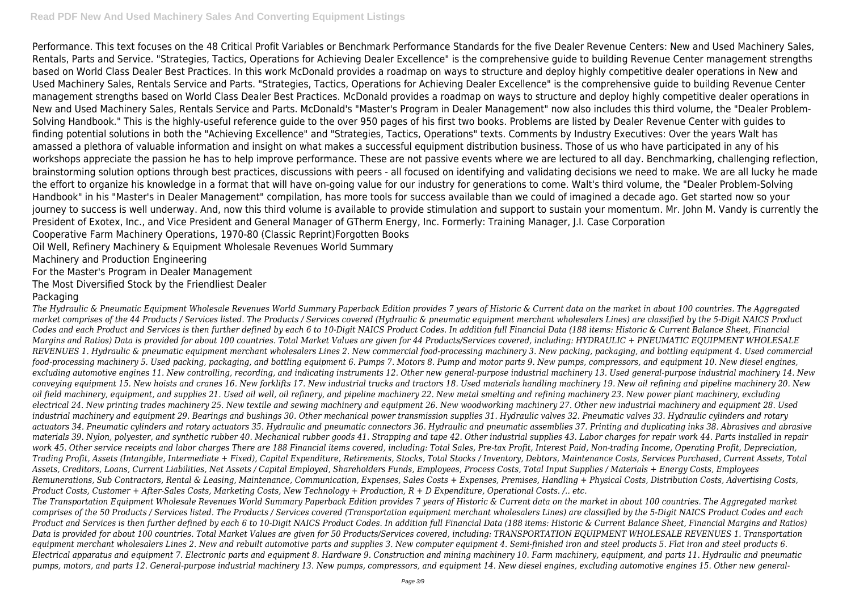Performance. This text focuses on the 48 Critical Profit Variables or Benchmark Performance Standards for the five Dealer Revenue Centers: New and Used Machinery Sales, Rentals, Parts and Service. "Strategies, Tactics, Operations for Achieving Dealer Excellence" is the comprehensive guide to building Revenue Center management strengths based on World Class Dealer Best Practices. In this work McDonald provides a roadmap on ways to structure and deploy highly competitive dealer operations in New and Used Machinery Sales, Rentals Service and Parts. "Strategies, Tactics, Operations for Achieving Dealer Excellence" is the comprehensive guide to building Revenue Center management strengths based on World Class Dealer Best Practices. McDonald provides a roadmap on ways to structure and deploy highly competitive dealer operations in New and Used Machinery Sales, Rentals Service and Parts. McDonald's "Master's Program in Dealer Management" now also includes this third volume, the "Dealer Problem-Solving Handbook." This is the highly-useful reference guide to the over 950 pages of his first two books. Problems are listed by Dealer Revenue Center with guides to finding potential solutions in both the "Achieving Excellence" and "Strategies, Tactics, Operations" texts. Comments by Industry Executives: Over the years Walt has amassed a plethora of valuable information and insight on what makes a successful equipment distribution business. Those of us who have participated in any of his workshops appreciate the passion he has to help improve performance. These are not passive events where we are lectured to all day. Benchmarking, challenging reflection, brainstorming solution options through best practices, discussions with peers - all focused on identifying and validating decisions we need to make. We are all lucky he made the effort to organize his knowledge in a format that will have on-going value for our industry for generations to come. Walt's third volume, the "Dealer Problem-Solving Handbook" in his "Master's in Dealer Management" compilation, has more tools for success available than we could of imagined a decade ago. Get started now so your journey to success is well underway. And, now this third volume is available to provide stimulation and support to sustain your momentum. Mr. John M. Vandy is currently the President of Exotex, Inc., and Vice President and General Manager of GTherm Energy, Inc. Formerly: Training Manager, J.I. Case Corporation Cooperative Farm Machinery Operations, 1970-80 (Classic Reprint)Forgotten Books

Oil Well, Refinery Machinery & Equipment Wholesale Revenues World Summary

Machinery and Production Engineering

For the Master's Program in Dealer Management

The Most Diversified Stock by the Friendliest Dealer

# Packaging

*The Hydraulic & Pneumatic Equipment Wholesale Revenues World Summary Paperback Edition provides 7 years of Historic & Current data on the market in about 100 countries. The Aggregated market comprises of the 44 Products / Services listed. The Products / Services covered (Hydraulic & pneumatic equipment merchant wholesalers Lines) are classified by the 5-Digit NAICS Product Codes and each Product and Services is then further defined by each 6 to 10-Digit NAICS Product Codes. In addition full Financial Data (188 items: Historic & Current Balance Sheet, Financial Margins and Ratios) Data is provided for about 100 countries. Total Market Values are given for 44 Products/Services covered, including: HYDRAULIC + PNEUMATIC EQUIPMENT WHOLESALE REVENUES 1. Hydraulic & pneumatic equipment merchant wholesalers Lines 2. New commercial food-processing machinery 3. New packing, packaging, and bottling equipment 4. Used commercial food-processing machinery 5. Used packing, packaging, and bottling equipment 6. Pumps 7. Motors 8. Pump and motor parts 9. New pumps, compressors, and equipment 10. New diesel engines, excluding automotive engines 11. New controlling, recording, and indicating instruments 12. Other new general-purpose industrial machinery 13. Used general-purpose industrial machinery 14. New conveying equipment 15. New hoists and cranes 16. New forklifts 17. New industrial trucks and tractors 18. Used materials handling machinery 19. New oil refining and pipeline machinery 20. New oil field machinery, equipment, and supplies 21. Used oil well, oil refinery, and pipeline machinery 22. New metal smelting and refining machinery 23. New power plant machinery, excluding electrical 24. New printing trades machinery 25. New textile and sewing machinery and equipment 26. New woodworking machinery 27. Other new industrial machinery and equipment 28. Used industrial machinery and equipment 29. Bearings and bushings 30. Other mechanical power transmission supplies 31. Hydraulic valves 32. Pneumatic valves 33. Hydraulic cylinders and rotary actuators 34. Pneumatic cylinders and rotary actuators 35. Hydraulic and pneumatic connectors 36. Hydraulic and pneumatic assemblies 37. Printing and duplicating inks 38. Abrasives and abrasive materials 39. Nylon, polyester, and synthetic rubber 40. Mechanical rubber goods 41. Strapping and tape 42. Other industrial supplies 43. Labor charges for repair work 44. Parts installed in repair work 45. Other service receipts and labor charges There are 188 Financial items covered, including: Total Sales, Pre-tax Profit, Interest Paid, Non-trading Income, Operating Profit, Depreciation, Trading Profit, Assets (Intangible, Intermediate + Fixed), Capital Expenditure, Retirements, Stocks, Total Stocks / Inventory, Debtors, Maintenance Costs, Services Purchased, Current Assets, Total Assets, Creditors, Loans, Current Liabilities, Net Assets / Capital Employed, Shareholders Funds, Employees, Process Costs, Total Input Supplies / Materials + Energy Costs, Employees Remunerations, Sub Contractors, Rental & Leasing, Maintenance, Communication, Expenses, Sales Costs + Expenses, Premises, Handling + Physical Costs, Distribution Costs, Advertising Costs, Product Costs, Customer + After-Sales Costs, Marketing Costs, New Technology + Production, R + D Expenditure, Operational Costs. /.. etc. The Transportation Equipment Wholesale Revenues World Summary Paperback Edition provides 7 years of Historic & Current data on the market in about 100 countries. The Aggregated market comprises of the 50 Products / Services listed. The Products / Services covered (Transportation equipment merchant wholesalers Lines) are classified by the 5-Digit NAICS Product Codes and each Product and Services is then further defined by each 6 to 10-Digit NAICS Product Codes. In addition full Financial Data (188 items: Historic & Current Balance Sheet, Financial Margins and Ratios) Data is provided for about 100 countries. Total Market Values are given for 50 Products/Services covered, including: TRANSPORTATION EQUIPMENT WHOLESALE REVENUES 1. Transportation equipment merchant wholesalers Lines 2. New and rebuilt automotive parts and supplies 3. New computer equipment 4. Semi-finished iron and steel products 5. Flat iron and steel products 6. Electrical apparatus and equipment 7. Electronic parts and equipment 8. Hardware 9. Construction and mining machinery 10. Farm machinery, equipment, and parts 11. Hydraulic and pneumatic pumps, motors, and parts 12. General-purpose industrial machinery 13. New pumps, compressors, and equipment 14. New diesel engines, excluding automotive engines 15. Other new general-*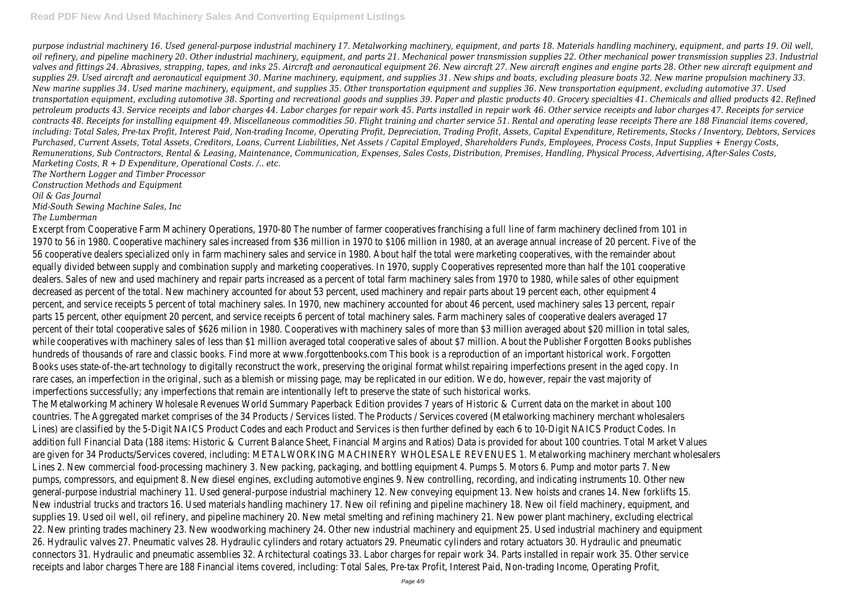*purpose industrial machinery 16. Used general-purpose industrial machinery 17. Metalworking machinery, equipment, and parts 18. Materials handling machinery, equipment, and parts 19. Oil well, oil refinery, and pipeline machinery 20. Other industrial machinery, equipment, and parts 21. Mechanical power transmission supplies 22. Other mechanical power transmission supplies 23. Industrial valves and fittings 24. Abrasives, strapping, tapes, and inks 25. Aircraft and aeronautical equipment 26. New aircraft 27. New aircraft engines and engine parts 28. Other new aircraft equipment and supplies 29. Used aircraft and aeronautical equipment 30. Marine machinery, equipment, and supplies 31. New ships and boats, excluding pleasure boats 32. New marine propulsion machinery 33. New marine supplies 34. Used marine machinery, equipment, and supplies 35. Other transportation equipment and supplies 36. New transportation equipment, excluding automotive 37. Used transportation equipment, excluding automotive 38. Sporting and recreational goods and supplies 39. Paper and plastic products 40. Grocery specialties 41. Chemicals and allied products 42. Refined petroleum products 43. Service receipts and labor charges 44. Labor charges for repair work 45. Parts installed in repair work 46. Other service receipts and labor charges 47. Receipts for service contracts 48. Receipts for installing equipment 49. Miscellaneous commodities 50. Flight training and charter service 51. Rental and operating lease receipts There are 188 Financial items covered, including: Total Sales, Pre-tax Profit, Interest Paid, Non-trading Income, Operating Profit, Depreciation, Trading Profit, Assets, Capital Expenditure, Retirements, Stocks / Inventory, Debtors, Services Purchased, Current Assets, Total Assets, Creditors, Loans, Current Liabilities, Net Assets / Capital Employed, Shareholders Funds, Employees, Process Costs, Input Supplies + Energy Costs, Remunerations, Sub Contractors, Rental & Leasing, Maintenance, Communication, Expenses, Sales Costs, Distribution, Premises, Handling, Physical Process, Advertising, After-Sales Costs, Marketing Costs, R + D Expenditure, Operational Costs. /.. etc.*

*The Northern Logger and Timber Processor Construction Methods and Equipment*

*Oil & Gas Journal*

*Mid-South Sewing Machine Sales, Inc*

*The Lumberman*

Excerpt from Cooperative Farm Machinery Operations, 1970-80 The number of farmer cooperatives franchising a full line of farm machinery declined from 101 in 1970 to 56 in 1980. Cooperative machinery sales increased from \$36 million in 1970 to \$106 million in 1980, at an average annual increase of 20 percent. Five of the 56 cooperative dealers specialized only in farm machinery sales and service in 1980. About half the total were marketing cooperatives, with the remainder about equally divided between supply and combination supply and marketing cooperatives. In 1970, supply Cooperatives represented more than half the 101 cooperative dealers. Sales of new and used machinery and repair parts increased as a percent of total farm machinery sales from 1970 to 1980, while sales of other equipment decreased as percent of the total. New machinery accounted for about 53 percent, used machinery and repair parts about 19 percent each, other equipment 4 percent, and service receipts 5 percent of total machinery sales. In 1970, new machinery accounted for about 46 percent, used machinery sales 13 percent, repair parts 15 percent, other equipment 20 percent, and service receipts 6 percent of total machinery sales. Farm machinery sales of cooperative dealers averaged 17 percent of their total cooperative sales of \$626 milion in 1980. Cooperatives with machinery sales of more than \$3 million averaged about \$20 million in total sales, while cooperatives with machinery sales of less than \$1 million averaged total cooperative sales of about \$7 million. About the Publisher Forgotten Books publishes hundreds of thousands of rare and classic books. Find more at www.forgottenbooks.com This book is a reproduction of an important historical work. Forgotten Books uses state-of-the-art technology to digitally reconstruct the work, preserving the original format whilst repairing imperfections present in the aged copy. In rare cases, an imperfection in the original, such as a blemish or missing page, may be replicated in our edition. We do, however, repair the vast majority of imperfections successfully; any imperfections that remain are intentionally left to preserve the state of such historical works. The Metalworking Machinery Wholesale Revenues World Summary Paperback Edition provides 7 years of Historic & Current data on the market in about 100 countries. The Aggregated market comprises of the 34 Products / Services listed. The Products / Services covered (Metalworking machinery merchant wholesalers Lines) are classified by the 5-Digit NAICS Product Codes and each Product and Services is then further defined by each 6 to 10-Digit NAICS Product Codes. In addition full Financial Data (188 items: Historic & Current Balance Sheet, Financial Margins and Ratios) Data is provided for about 100 countries. Total Market Values are given for 34 Products/Services covered, including: METALWORKING MACHINERY WHOLESALE REVENUES 1. Metalworking machinery merchant wholesalers Lines 2. New commercial food-processing machinery 3. New packing, packaging, and bottling equipment 4. Pumps 5. Motors 6. Pump and motor parts 7. New pumps, compressors, and equipment 8. New diesel engines, excluding automotive engines 9. New controlling, recording, and indicating instruments 10. Other new general-purpose industrial machinery 11. Used general-purpose industrial machinery 12. New conveying equipment 13. New hoists and cranes 14. New forklifts 15. New industrial trucks and tractors 16. Used materials handling machinery 17. New oil refining and pipeline machinery 18. New oil field machinery, equipment, and supplies 19. Used oil well, oil refinery, and pipeline machinery 20. New metal smelting and refining machinery 21. New power plant machinery, excluding electrical 22. New printing trades machinery 23. New woodworking machinery 24. Other new industrial machinery and equipment 25. Used industrial machinery and equipment 26. Hydraulic valves 27. Pneumatic valves 28. Hydraulic cylinders and rotary actuators 29. Pneumatic cylinders and rotary actuators 30. Hydraulic and pneumatic connectors 31. Hydraulic and pneumatic assemblies 32. Architectural coatings 33. Labor charges for repair work 34. Parts installed in repair work 35. Other service receipts and labor charges There are 188 Financial items covered, including: Total Sales, Pre-tax Profit, Interest Paid, Non-trading Income, Operating Profit,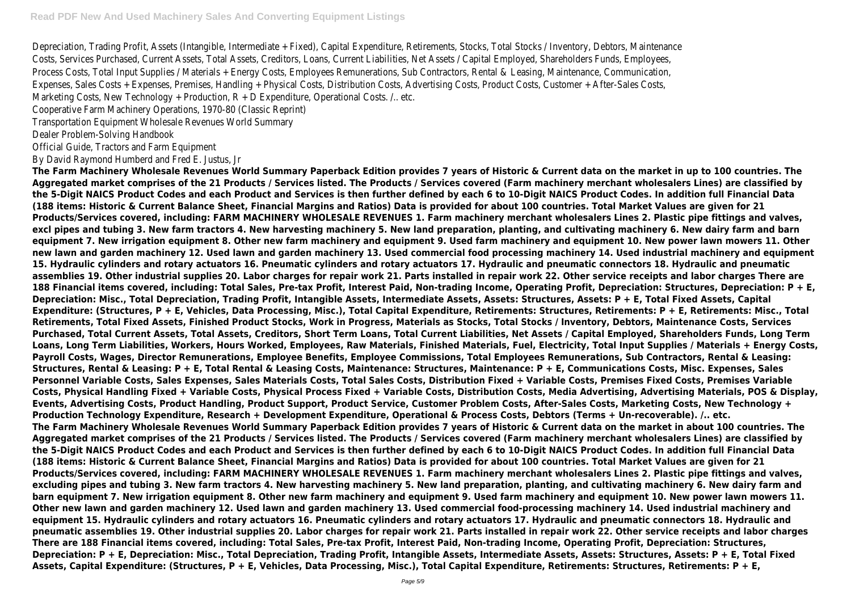Depreciation, Trading Profit, Assets (Intangible, Intermediate + Fixed), Capital Expenditure, Retirements, Stocks, Total Stocks / Inventory, Debtors, Maintenance Costs, Services Purchased, Current Assets, Total Assets, Creditors, Loans, Current Liabilities, Net Assets / Capital Employed, Shareholders Funds, Employees, Process Costs, Total Input Supplies / Materials + Energy Costs, Employees Remunerations, Sub Contractors, Rental & Leasing, Maintenance, Communication, Expenses, Sales Costs + Expenses, Premises, Handling + Physical Costs, Distribution Costs, Advertising Costs, Product Costs, Customer + After-Sales Costs, Marketing Costs, New Technology + Production, R + D Expenditure, Operational Costs. /.. etc.

Cooperative Farm Machinery Operations, 1970-80 (Classic Reprint)

Transportation Equipment Wholesale Revenues World Summary

Dealer Problem-Solving Handbook

Official Guide, Tractors and Farm Equipment

By David Raymond Humberd and Fred E. Justus, Jr

**The Farm Machinery Wholesale Revenues World Summary Paperback Edition provides 7 years of Historic & Current data on the market in up to 100 countries. The Aggregated market comprises of the 21 Products / Services listed. The Products / Services covered (Farm machinery merchant wholesalers Lines) are classified by the 5-Digit NAICS Product Codes and each Product and Services is then further defined by each 6 to 10-Digit NAICS Product Codes. In addition full Financial Data (188 items: Historic & Current Balance Sheet, Financial Margins and Ratios) Data is provided for about 100 countries. Total Market Values are given for 21 Products/Services covered, including: FARM MACHINERY WHOLESALE REVENUES 1. Farm machinery merchant wholesalers Lines 2. Plastic pipe fittings and valves, excl pipes and tubing 3. New farm tractors 4. New harvesting machinery 5. New land preparation, planting, and cultivating machinery 6. New dairy farm and barn equipment 7. New irrigation equipment 8. Other new farm machinery and equipment 9. Used farm machinery and equipment 10. New power lawn mowers 11. Other new lawn and garden machinery 12. Used lawn and garden machinery 13. Used commercial food processing machinery 14. Used industrial machinery and equipment 15. Hydraulic cylinders and rotary actuators 16. Pneumatic cylinders and rotary actuators 17. Hydraulic and pneumatic connectors 18. Hydraulic and pneumatic assemblies 19. Other industrial supplies 20. Labor charges for repair work 21. Parts installed in repair work 22. Other service receipts and labor charges There are 188 Financial items covered, including: Total Sales, Pre-tax Profit, Interest Paid, Non-trading Income, Operating Profit, Depreciation: Structures, Depreciation: P + E, Depreciation: Misc., Total Depreciation, Trading Profit, Intangible Assets, Intermediate Assets, Assets: Structures, Assets: P + E, Total Fixed Assets, Capital Expenditure: (Structures, P + E, Vehicles, Data Processing, Misc.), Total Capital Expenditure, Retirements: Structures, Retirements: P + E, Retirements: Misc., Total Retirements, Total Fixed Assets, Finished Product Stocks, Work in Progress, Materials as Stocks, Total Stocks / Inventory, Debtors, Maintenance Costs, Services Purchased, Total Current Assets, Total Assets, Creditors, Short Term Loans, Total Current Liabilities, Net Assets / Capital Employed, Shareholders Funds, Long Term Loans, Long Term Liabilities, Workers, Hours Worked, Employees, Raw Materials, Finished Materials, Fuel, Electricity, Total Input Supplies / Materials + Energy Costs, Payroll Costs, Wages, Director Remunerations, Employee Benefits, Employee Commissions, Total Employees Remunerations, Sub Contractors, Rental & Leasing: Structures, Rental & Leasing: P + E, Total Rental & Leasing Costs, Maintenance: Structures, Maintenance: P + E, Communications Costs, Misc. Expenses, Sales Personnel Variable Costs, Sales Expenses, Sales Materials Costs, Total Sales Costs, Distribution Fixed + Variable Costs, Premises Fixed Costs, Premises Variable Costs, Physical Handling Fixed + Variable Costs, Physical Process Fixed + Variable Costs, Distribution Costs, Media Advertising, Advertising Materials, POS & Display, Events, Advertising Costs, Product Handling, Product Support, Product Service, Customer Problem Costs, After-Sales Costs, Marketing Costs, New Technology + Production Technology Expenditure, Research + Development Expenditure, Operational & Process Costs, Debtors (Terms + Un-recoverable). /.. etc. The Farm Machinery Wholesale Revenues World Summary Paperback Edition provides 7 years of Historic & Current data on the market in about 100 countries. The Aggregated market comprises of the 21 Products / Services listed. The Products / Services covered (Farm machinery merchant wholesalers Lines) are classified by the 5-Digit NAICS Product Codes and each Product and Services is then further defined by each 6 to 10-Digit NAICS Product Codes. In addition full Financial Data (188 items: Historic & Current Balance Sheet, Financial Margins and Ratios) Data is provided for about 100 countries. Total Market Values are given for 21 Products/Services covered, including: FARM MACHINERY WHOLESALE REVENUES 1. Farm machinery merchant wholesalers Lines 2. Plastic pipe fittings and valves, excluding pipes and tubing 3. New farm tractors 4. New harvesting machinery 5. New land preparation, planting, and cultivating machinery 6. New dairy farm and barn equipment 7. New irrigation equipment 8. Other new farm machinery and equipment 9. Used farm machinery and equipment 10. New power lawn mowers 11. Other new lawn and garden machinery 12. Used lawn and garden machinery 13. Used commercial food-processing machinery 14. Used industrial machinery and equipment 15. Hydraulic cylinders and rotary actuators 16. Pneumatic cylinders and rotary actuators 17. Hydraulic and pneumatic connectors 18. Hydraulic and pneumatic assemblies 19. Other industrial supplies 20. Labor charges for repair work 21. Parts installed in repair work 22. Other service receipts and labor charges There are 188 Financial items covered, including: Total Sales, Pre-tax Profit, Interest Paid, Non-trading Income, Operating Profit, Depreciation: Structures, Depreciation: P + E, Depreciation: Misc., Total Depreciation, Trading Profit, Intangible Assets, Intermediate Assets, Assets: Structures, Assets: P + E, Total Fixed Assets, Capital Expenditure: (Structures, P + E, Vehicles, Data Processing, Misc.), Total Capital Expenditure, Retirements: Structures, Retirements: P + E,**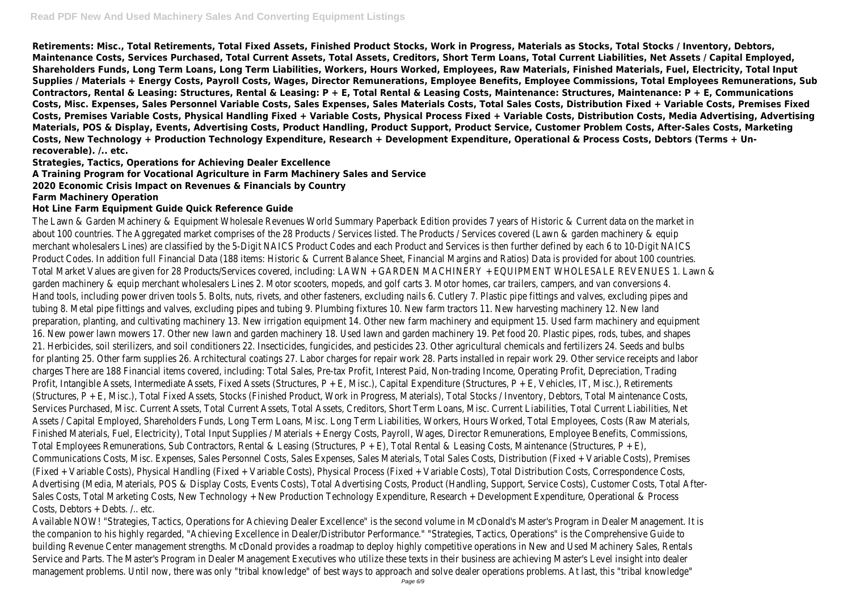**Retirements: Misc., Total Retirements, Total Fixed Assets, Finished Product Stocks, Work in Progress, Materials as Stocks, Total Stocks / Inventory, Debtors, Maintenance Costs, Services Purchased, Total Current Assets, Total Assets, Creditors, Short Term Loans, Total Current Liabilities, Net Assets / Capital Employed, Shareholders Funds, Long Term Loans, Long Term Liabilities, Workers, Hours Worked, Employees, Raw Materials, Finished Materials, Fuel, Electricity, Total Input Supplies / Materials + Energy Costs, Payroll Costs, Wages, Director Remunerations, Employee Benefits, Employee Commissions, Total Employees Remunerations, Sub Contractors, Rental & Leasing: Structures, Rental & Leasing: P + E, Total Rental & Leasing Costs, Maintenance: Structures, Maintenance: P + E, Communications Costs, Misc. Expenses, Sales Personnel Variable Costs, Sales Expenses, Sales Materials Costs, Total Sales Costs, Distribution Fixed + Variable Costs, Premises Fixed Costs, Premises Variable Costs, Physical Handling Fixed + Variable Costs, Physical Process Fixed + Variable Costs, Distribution Costs, Media Advertising, Advertising Materials, POS & Display, Events, Advertising Costs, Product Handling, Product Support, Product Service, Customer Problem Costs, After-Sales Costs, Marketing Costs, New Technology + Production Technology Expenditure, Research + Development Expenditure, Operational & Process Costs, Debtors (Terms + Unrecoverable). /.. etc.**

**Strategies, Tactics, Operations for Achieving Dealer Excellence**

### **A Training Program for Vocational Agriculture in Farm Machinery Sales and Service**

### **2020 Economic Crisis Impact on Revenues & Financials by Country**

#### **Farm Machinery Operation**

#### **Hot Line Farm Equipment Guide Quick Reference Guide**

The Lawn & Garden Machinery & Equipment Wholesale Revenues World Summary Paperback Edition provides 7 years of Historic & Current data on the market in about 100 countries. The Aggregated market comprises of the 28 Products / Services listed. The Products / Services covered (Lawn & garden machinery & equip merchant wholesalers Lines) are classified by the 5-Digit NAICS Product Codes and each Product and Services is then further defined by each 6 to 10-Digit NAICS Product Codes. In addition full Financial Data (188 items: Historic & Current Balance Sheet, Financial Margins and Ratios) Data is provided for about 100 countries. Total Market Values are given for 28 Products/Services covered, including: LAWN + GARDEN MACHINERY + EQUIPMENT WHOLESALE REVENUES 1. Lawn & garden machinery & equip merchant wholesalers Lines 2. Motor scooters, mopeds, and golf carts 3. Motor homes, car trailers, campers, and van conversions 4. Hand tools, including power driven tools 5. Bolts, nuts, rivets, and other fasteners, excluding nails 6. Cutlery 7. Plastic pipe fittings and valves, excluding pipes and tubing 8. Metal pipe fittings and valves, excluding pipes and tubing 9. Plumbing fixtures 10. New farm tractors 11. New harvesting machinery 12. New land preparation, planting, and cultivating machinery 13. New irrigation equipment 14. Other new farm machinery and equipment 15. Used farm machinery and equipment 16. New power lawn mowers 17. Other new lawn and garden machinery 18. Used lawn and garden machinery 19. Pet food 20. Plastic pipes, rods, tubes, and shapes 21. Herbicides, soil sterilizers, and soil conditioners 22. Insecticides, fungicides, and pesticides 23. Other agricultural chemicals and fertilizers 24. Seeds and bulbs for planting 25. Other farm supplies 26. Architectural coatings 27. Labor charges for repair work 28. Parts installed in repair work 29. Other service receipts and labor charges There are 188 Financial items covered, including: Total Sales, Pre-tax Profit, Interest Paid, Non-trading Income, Operating Profit, Depreciation, Trading Profit, Intangible Assets, Intermediate Assets, Fixed Assets (Structures, P + E, Misc.), Capital Expenditure (Structures, P + E, Vehicles, IT, Misc.), Retirements (Structures, P + E, Misc.), Total Fixed Assets, Stocks (Finished Product, Work in Progress, Materials), Total Stocks / Inventory, Debtors, Total Maintenance Costs, Services Purchased, Misc. Current Assets, Total Current Assets, Total Assets, Creditors, Short Term Loans, Misc. Current Liabilities, Total Current Liabilities, Net Assets / Capital Employed, Shareholders Funds, Long Term Loans, Misc. Long Term Liabilities, Workers, Hours Worked, Total Employees, Costs (Raw Materials, Finished Materials, Fuel, Electricity), Total Input Supplies / Materials + Energy Costs, Payroll, Wages, Director Remunerations, Employee Benefits, Commissions, Total Employees Remunerations, Sub Contractors, Rental & Leasing (Structures, P + E), Total Rental & Leasing Costs, Maintenance (Structures, P + E), Communications Costs, Misc. Expenses, Sales Personnel Costs, Sales Expenses, Sales Materials, Total Sales Costs, Distribution (Fixed + Variable Costs), Premises (Fixed + Variable Costs), Physical Handling (Fixed + Variable Costs), Physical Process (Fixed + Variable Costs), Total Distribution Costs, Correspondence Costs, Advertising (Media, Materials, POS & Display Costs, Events Costs), Total Advertising Costs, Product (Handling, Support, Service Costs), Customer Costs, Total After-Sales Costs, Total Marketing Costs, New Technology + New Production Technology Expenditure, Research + Development Expenditure, Operational & Process Costs, Debtors + Debts. /.. etc.

Available NOW! "Strategies, Tactics, Operations for Achieving Dealer Excellence" is the second volume in McDonald's Master's Program in Dealer Management. It is the companion to his highly regarded, "Achieving Excellence in Dealer/Distributor Performance." "Strategies, Tactics, Operations" is the Comprehensive Guide to building Revenue Center management strengths. McDonald provides a roadmap to deploy highly competitive operations in New and Used Machinery Sales, Rentals Service and Parts. The Master's Program in Dealer Management Executives who utilize these texts in their business are achieving Master's Level insight into dealer management problems. Until now, there was only "tribal knowledge" of best ways to approach and solve dealer operations problems. At last, this "tribal knowledge"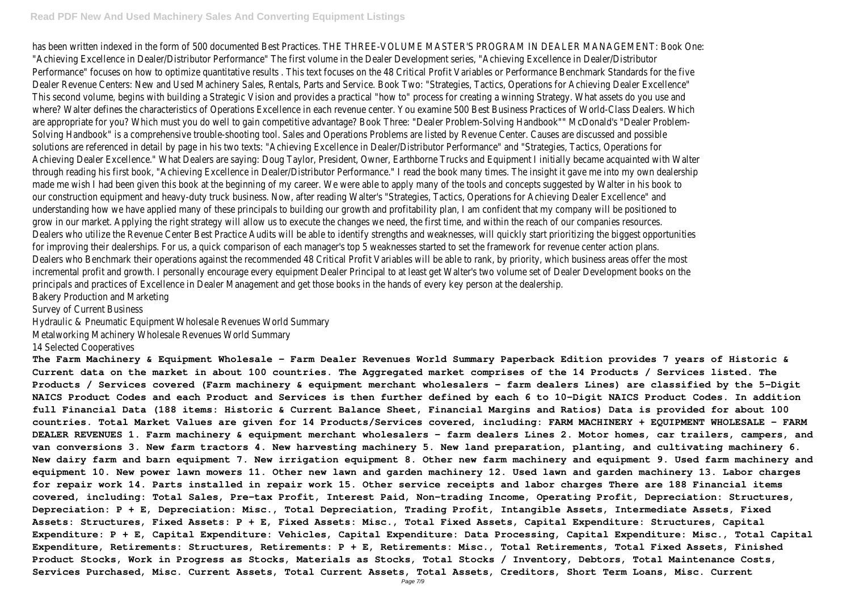#### **Read PDF New And Used Machinery Sales And Converting Equipment Listings**

has been written indexed in the form of 500 documented Best Practices. THE THREE-VOLUME MASTER'S PROGRAM IN DEALER MANAGEMENT: Book One: "Achieving Excellence in Dealer/Distributor Performance" The first volume in the Dealer Development series, "Achieving Excellence in Dealer/Distributor Performance" focuses on how to optimize quantitative results . This text focuses on the 48 Critical Profit Variables or Performance Benchmark Standards for the five Dealer Revenue Centers: New and Used Machinery Sales, Rentals, Parts and Service. Book Two: "Strategies, Tactics, Operations for Achieving Dealer Excellence" This second volume, begins with building a Strategic Vision and provides a practical "how to" process for creating a winning Strategy. What assets do you use and where? Walter defines the characteristics of Operations Excellence in each revenue center. You examine 500 Best Business Practices of World-Class Dealers. Which are appropriate for you? Which must you do well to gain competitive advantage? Book Three: "Dealer Problem-Solving Handbook"" McDonald's "Dealer Problem-Solving Handbook" is a comprehensive trouble-shooting tool. Sales and Operations Problems are listed by Revenue Center. Causes are discussed and possible solutions are referenced in detail by page in his two texts: "Achieving Excellence in Dealer/Distributor Performance" and "Strategies, Tactics, Operations for Achieving Dealer Excellence." What Dealers are saying: Doug Taylor, President, Owner, Earthborne Trucks and Equipment I initially became acquainted with Walter through reading his first book, "Achieving Excellence in Dealer/Distributor Performance." I read the book many times. The insight it gave me into my own dealership made me wish I had been given this book at the beginning of my career. We were able to apply many of the tools and concepts suggested by Walter in his book to our construction equipment and heavy-duty truck business. Now, after reading Walter's "Strategies, Tactics, Operations for Achieving Dealer Excellence" and understanding how we have applied many of these principals to building our growth and profitability plan, I am confident that my company will be positioned to grow in our market. Applying the right strategy will allow us to execute the changes we need, the first time, and within the reach of our companies resources. Dealers who utilize the Revenue Center Best Practice Audits will be able to identify strengths and weaknesses, will quickly start prioritizing the biggest opportunities for improving their dealerships. For us, a quick comparison of each manager's top 5 weaknesses started to set the framework for revenue center action plans. Dealers who Benchmark their operations against the recommended 48 Critical Profit Variables will be able to rank, by priority, which business areas offer the most incremental profit and growth. I personally encourage every equipment Dealer Principal to at least get Walter's two volume set of Dealer Development books on the principals and practices of Excellence in Dealer Management and get those books in the hands of every key person at the dealership. Bakery Production and Marketing

Survey of Current Business

Hydraulic & Pneumatic Equipment Wholesale Revenues World Summary

Metalworking Machinery Wholesale Revenues World Summary

14 Selected Cooperatives

**The Farm Machinery & Equipment Wholesale - Farm Dealer Revenues World Summary Paperback Edition provides 7 years of Historic & Current data on the market in about 100 countries. The Aggregated market comprises of the 14 Products / Services listed. The Products / Services covered (Farm machinery & equipment merchant wholesalers - farm dealers Lines) are classified by the 5-Digit NAICS Product Codes and each Product and Services is then further defined by each 6 to 10-Digit NAICS Product Codes. In addition full Financial Data (188 items: Historic & Current Balance Sheet, Financial Margins and Ratios) Data is provided for about 100 countries. Total Market Values are given for 14 Products/Services covered, including: FARM MACHINERY + EQUIPMENT WHOLESALE - FARM DEALER REVENUES 1. Farm machinery & equipment merchant wholesalers - farm dealers Lines 2. Motor homes, car trailers, campers, and van conversions 3. New farm tractors 4. New harvesting machinery 5. New land preparation, planting, and cultivating machinery 6. New dairy farm and barn equipment 7. New irrigation equipment 8. Other new farm machinery and equipment 9. Used farm machinery and equipment 10. New power lawn mowers 11. Other new lawn and garden machinery 12. Used lawn and garden machinery 13. Labor charges for repair work 14. Parts installed in repair work 15. Other service receipts and labor charges There are 188 Financial items covered, including: Total Sales, Pre-tax Profit, Interest Paid, Non-trading Income, Operating Profit, Depreciation: Structures, Depreciation: P + E, Depreciation: Misc., Total Depreciation, Trading Profit, Intangible Assets, Intermediate Assets, Fixed Assets: Structures, Fixed Assets: P + E, Fixed Assets: Misc., Total Fixed Assets, Capital Expenditure: Structures, Capital Expenditure: P + E, Capital Expenditure: Vehicles, Capital Expenditure: Data Processing, Capital Expenditure: Misc., Total Capital Expenditure, Retirements: Structures, Retirements: P + E, Retirements: Misc., Total Retirements, Total Fixed Assets, Finished Product Stocks, Work in Progress as Stocks, Materials as Stocks, Total Stocks / Inventory, Debtors, Total Maintenance Costs, Services Purchased, Misc. Current Assets, Total Current Assets, Total Assets, Creditors, Short Term Loans, Misc. Current**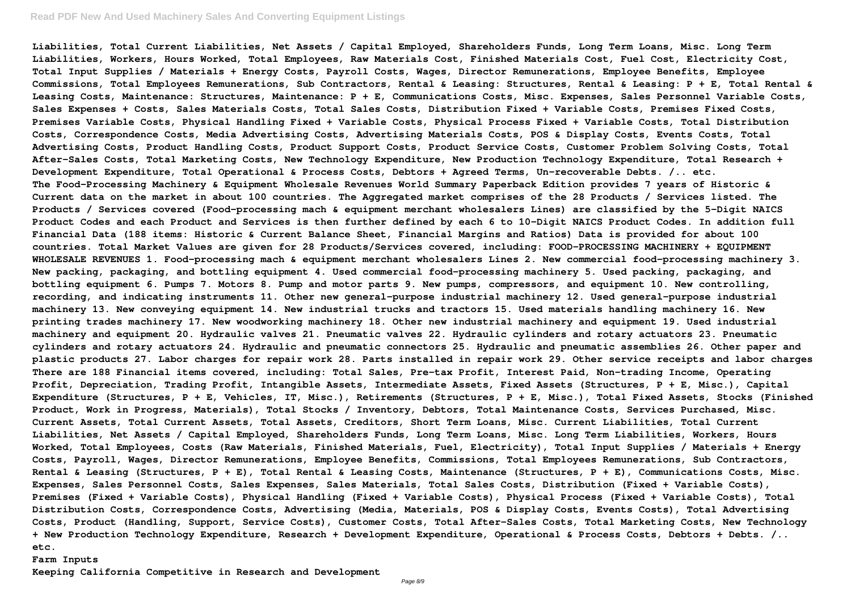#### **Read PDF New And Used Machinery Sales And Converting Equipment Listings**

**Liabilities, Total Current Liabilities, Net Assets / Capital Employed, Shareholders Funds, Long Term Loans, Misc. Long Term Liabilities, Workers, Hours Worked, Total Employees, Raw Materials Cost, Finished Materials Cost, Fuel Cost, Electricity Cost, Total Input Supplies / Materials + Energy Costs, Payroll Costs, Wages, Director Remunerations, Employee Benefits, Employee Commissions, Total Employees Remunerations, Sub Contractors, Rental & Leasing: Structures, Rental & Leasing: P + E, Total Rental & Leasing Costs, Maintenance: Structures, Maintenance: P + E, Communications Costs, Misc. Expenses, Sales Personnel Variable Costs, Sales Expenses + Costs, Sales Materials Costs, Total Sales Costs, Distribution Fixed + Variable Costs, Premises Fixed Costs, Premises Variable Costs, Physical Handling Fixed + Variable Costs, Physical Process Fixed + Variable Costs, Total Distribution Costs, Correspondence Costs, Media Advertising Costs, Advertising Materials Costs, POS & Display Costs, Events Costs, Total Advertising Costs, Product Handling Costs, Product Support Costs, Product Service Costs, Customer Problem Solving Costs, Total After-Sales Costs, Total Marketing Costs, New Technology Expenditure, New Production Technology Expenditure, Total Research + Development Expenditure, Total Operational & Process Costs, Debtors + Agreed Terms, Un-recoverable Debts. /.. etc. The Food-Processing Machinery & Equipment Wholesale Revenues World Summary Paperback Edition provides 7 years of Historic & Current data on the market in about 100 countries. The Aggregated market comprises of the 28 Products / Services listed. The Products / Services covered (Food-processing mach & equipment merchant wholesalers Lines) are classified by the 5-Digit NAICS Product Codes and each Product and Services is then further defined by each 6 to 10-Digit NAICS Product Codes. In addition full Financial Data (188 items: Historic & Current Balance Sheet, Financial Margins and Ratios) Data is provided for about 100 countries. Total Market Values are given for 28 Products/Services covered, including: FOOD-PROCESSING MACHINERY + EQUIPMENT WHOLESALE REVENUES 1. Food-processing mach & equipment merchant wholesalers Lines 2. New commercial food-processing machinery 3. New packing, packaging, and bottling equipment 4. Used commercial food-processing machinery 5. Used packing, packaging, and bottling equipment 6. Pumps 7. Motors 8. Pump and motor parts 9. New pumps, compressors, and equipment 10. New controlling, recording, and indicating instruments 11. Other new general-purpose industrial machinery 12. Used general-purpose industrial machinery 13. New conveying equipment 14. New industrial trucks and tractors 15. Used materials handling machinery 16. New printing trades machinery 17. New woodworking machinery 18. Other new industrial machinery and equipment 19. Used industrial machinery and equipment 20. Hydraulic valves 21. Pneumatic valves 22. Hydraulic cylinders and rotary actuators 23. Pneumatic cylinders and rotary actuators 24. Hydraulic and pneumatic connectors 25. Hydraulic and pneumatic assemblies 26. Other paper and plastic products 27. Labor charges for repair work 28. Parts installed in repair work 29. Other service receipts and labor charges There are 188 Financial items covered, including: Total Sales, Pre-tax Profit, Interest Paid, Non-trading Income, Operating Profit, Depreciation, Trading Profit, Intangible Assets, Intermediate Assets, Fixed Assets (Structures, P + E, Misc.), Capital Expenditure (Structures, P + E, Vehicles, IT, Misc.), Retirements (Structures, P + E, Misc.), Total Fixed Assets, Stocks (Finished Product, Work in Progress, Materials), Total Stocks / Inventory, Debtors, Total Maintenance Costs, Services Purchased, Misc. Current Assets, Total Current Assets, Total Assets, Creditors, Short Term Loans, Misc. Current Liabilities, Total Current Liabilities, Net Assets / Capital Employed, Shareholders Funds, Long Term Loans, Misc. Long Term Liabilities, Workers, Hours Worked, Total Employees, Costs (Raw Materials, Finished Materials, Fuel, Electricity), Total Input Supplies / Materials + Energy Costs, Payroll, Wages, Director Remunerations, Employee Benefits, Commissions, Total Employees Remunerations, Sub Contractors, Rental & Leasing (Structures, P + E), Total Rental & Leasing Costs, Maintenance (Structures, P + E), Communications Costs, Misc. Expenses, Sales Personnel Costs, Sales Expenses, Sales Materials, Total Sales Costs, Distribution (Fixed + Variable Costs), Premises (Fixed + Variable Costs), Physical Handling (Fixed + Variable Costs), Physical Process (Fixed + Variable Costs), Total Distribution Costs, Correspondence Costs, Advertising (Media, Materials, POS & Display Costs, Events Costs), Total Advertising Costs, Product (Handling, Support, Service Costs), Customer Costs, Total After-Sales Costs, Total Marketing Costs, New Technology + New Production Technology Expenditure, Research + Development Expenditure, Operational & Process Costs, Debtors + Debts. /.. etc.**

#### **Farm Inputs**

**Keeping California Competitive in Research and Development**